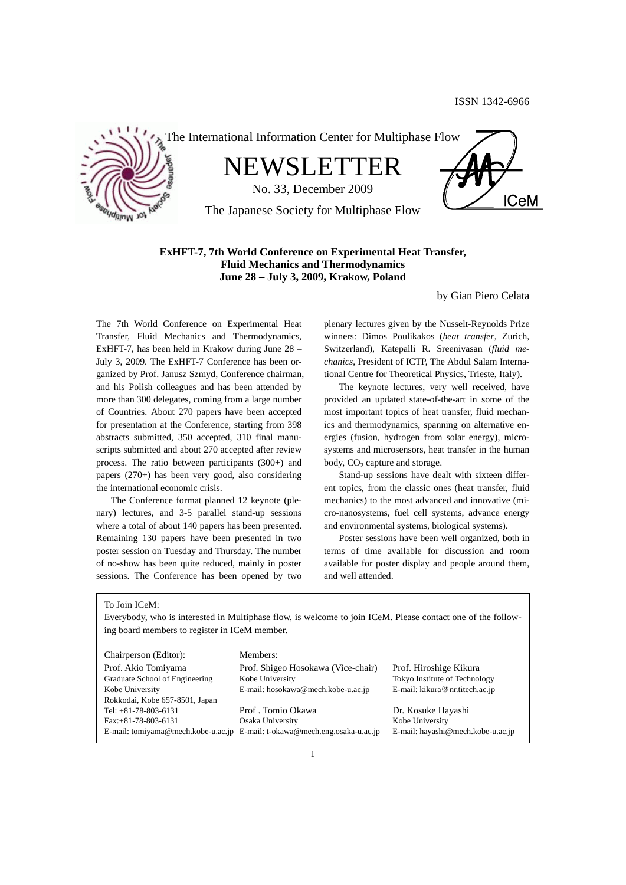

The International Information Center for Multiphase Flow

NEWSLETTER

No. 33, December 2009

The Japanese Society for Multiphase Flow



# **ExHFT-7, 7th World Conference on Experimental Heat Transfer, Fluid Mechanics and Thermodynamics June 28 – July 3, 2009, Krakow, Poland**

by Gian Piero Celata

The 7th World Conference on Experimental Heat Transfer, Fluid Mechanics and Thermodynamics, ExHFT-7, has been held in Krakow during June 28 – July 3, 2009. The ExHFT-7 Conference has been organized by Prof. Janusz Szmyd, Conference chairman, and his Polish colleagues and has been attended by more than 300 delegates, coming from a large number of Countries. About 270 papers have been accepted for presentation at the Conference, starting from 398 abstracts submitted, 350 accepted, 310 final manuscripts submitted and about 270 accepted after review process. The ratio between participants (300+) and papers (270+) has been very good, also considering the international economic crisis.

 The Conference format planned 12 keynote (plenary) lectures, and 3-5 parallel stand-up sessions where a total of about 140 papers has been presented. Remaining 130 papers have been presented in two poster session on Tuesday and Thursday. The number of no-show has been quite reduced, mainly in poster sessions. The Conference has been opened by two

plenary lectures given by the Nusselt-Reynolds Prize winners: Dimos Poulikakos (*heat transfer*, Zurich, Switzerland), Katepalli R. Sreenivasan (*fluid mechanics*, President of ICTP, The Abdul Salam International Centre for Theoretical Physics, Trieste, Italy).

 The keynote lectures, very well received, have provided an updated state-of-the-art in some of the most important topics of heat transfer, fluid mechanics and thermodynamics, spanning on alternative energies (fusion, hydrogen from solar energy), microsystems and microsensors, heat transfer in the human body,  $CO<sub>2</sub>$  capture and storage.

 Stand-up sessions have dealt with sixteen different topics, from the classic ones (heat transfer, fluid mechanics) to the most advanced and innovative (micro-nanosystems, fuel cell systems, advance energy and environmental systems, biological systems).

 Poster sessions have been well organized, both in terms of time available for discussion and room available for poster display and people around them, and well attended.

To Join ICeM:

Everybody, who is interested in Multiphase flow, is welcome to join ICeM. Please contact one of the following board members to register in ICeM member.

| Chairperson (Editor):          | Members:                                                                  |                                   |
|--------------------------------|---------------------------------------------------------------------------|-----------------------------------|
| Prof. Akio Tomiyama            | Prof. Shigeo Hosokawa (Vice-chair)                                        | Prof. Hiroshige Kikura            |
| Graduate School of Engineering | Kobe University                                                           | Tokyo Institute of Technology     |
| Kobe University                | E-mail: hosokawa@mech.kobe-u.ac.jp                                        | E-mail: kikura@nr.titech.ac.jp    |
| Rokkodai, Kobe 657-8501, Japan |                                                                           |                                   |
| Tel: $+81-78-803-6131$         | Prof. Tomio Okawa                                                         | Dr. Kosuke Hayashi                |
| $Fax: +81-78-803-6131$         | Osaka University                                                          | Kobe University                   |
|                                | E-mail: tomiyama@mech.kobe-u.ac.jp E-mail: t-okawa@mech.eng.osaka-u.ac.jp | E-mail: hayashi@mech.kobe-u.ac.jp |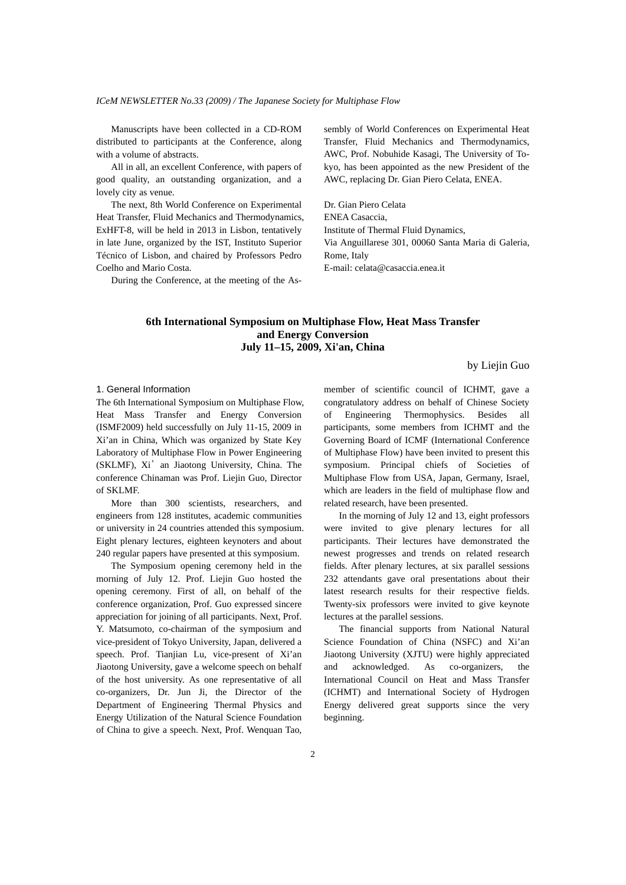Manuscripts have been collected in a CD-ROM distributed to participants at the Conference, along with a volume of abstracts.

 All in all, an excellent Conference, with papers of good quality, an outstanding organization, and a lovely city as venue.

 The next, 8th World Conference on Experimental Heat Transfer, Fluid Mechanics and Thermodynamics, ExHFT-8, will be held in 2013 in Lisbon, tentatively in late June, organized by the IST, Instituto Superior Técnico of Lisbon, and chaired by Professors Pedro Coelho and Mario Costa.

During the Conference, at the meeting of the As-

sembly of World Conferences on Experimental Heat Transfer, Fluid Mechanics and Thermodynamics, AWC, Prof. Nobuhide Kasagi, The University of Tokyo, has been appointed as the new President of the AWC, replacing Dr. Gian Piero Celata, ENEA.

Dr. Gian Piero Celata ENEA Casaccia, Institute of Thermal Fluid Dynamics, Via Anguillarese 301, 00060 Santa Maria di Galeria, Rome, Italy E-mail: celata@casaccia.enea.it

## **6th International Symposium on Multiphase Flow, Heat Mass Transfer and Energy Conversion July 11–15, 2009, Xi'an, China**

by Liejin Guo

### 1. General Information

The 6th International Symposium on Multiphase Flow, Heat Mass Transfer and Energy Conversion (ISMF2009) held successfully on July 11-15, 2009 in Xi'an in China, Which was organized by State Key Laboratory of Multiphase Flow in Power Engineering (SKLMF), Xi'an Jiaotong University, China. The conference Chinaman was Prof. Liejin Guo, Director of SKLMF.

 More than 300 scientists, researchers, and engineers from 128 institutes, academic communities or university in 24 countries attended this symposium. Eight plenary lectures, eighteen keynoters and about 240 regular papers have presented at this symposium.

 The Symposium opening ceremony held in the morning of July 12. Prof. Liejin Guo hosted the opening ceremony. First of all, on behalf of the conference organization, Prof. Guo expressed sincere appreciation for joining of all participants. Next, Prof. Y. Matsumoto, co-chairman of the symposium and vice-president of Tokyo University, Japan, delivered a speech. Prof. Tianjian Lu, vice-present of Xi'an Jiaotong University, gave a welcome speech on behalf of the host university. As one representative of all co-organizers, Dr. Jun Ji, the Director of the Department of Engineering Thermal Physics and Energy Utilization of the Natural Science Foundation of China to give a speech. Next, Prof. Wenquan Tao,

member of scientific council of ICHMT, gave a congratulatory address on behalf of Chinese Society of Engineering Thermophysics. Besides all participants, some members from ICHMT and the Governing Board of ICMF (International Conference of Multiphase Flow) have been invited to present this symposium. Principal chiefs of Societies of Multiphase Flow from USA, Japan, Germany, Israel, which are leaders in the field of multiphase flow and related research, have been presented.

 In the morning of July 12 and 13, eight professors were invited to give plenary lectures for all participants. Their lectures have demonstrated the newest progresses and trends on related research fields. After plenary lectures, at six parallel sessions 232 attendants gave oral presentations about their latest research results for their respective fields. Twenty-six professors were invited to give keynote lectures at the parallel sessions.

 The financial supports from National Natural Science Foundation of China (NSFC) and Xi'an Jiaotong University (XJTU) were highly appreciated and acknowledged. As co-organizers, International Council on Heat and Mass Transfer (ICHMT) and International Society of Hydrogen Energy delivered great supports since the very beginning.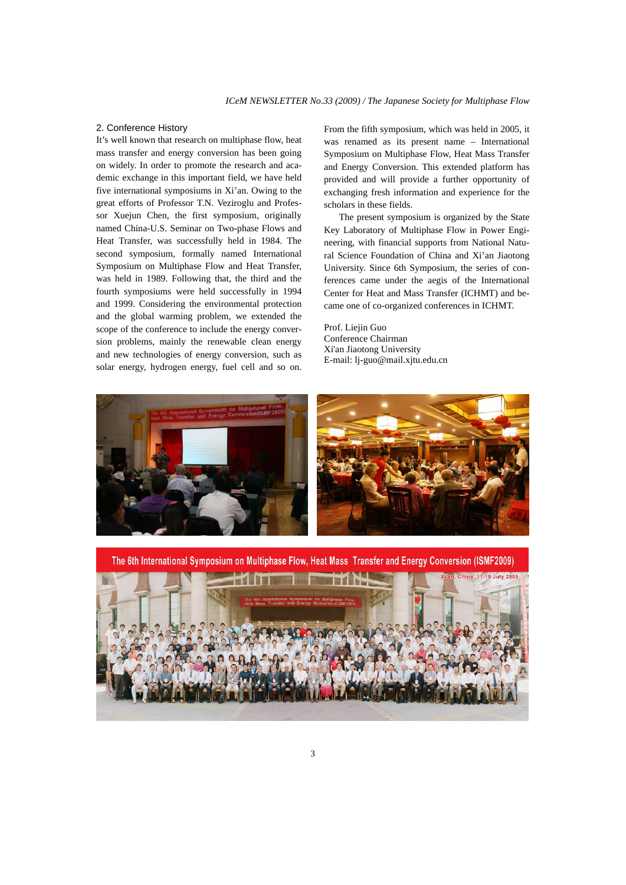### 2. Conference History

It's well known that research on multiphase flow, heat mass transfer and energy conversion has been going on widely. In order to promote the research and academic exchange in this important field, we have held five international symposiums in Xi'an. Owing to the great efforts of Professor T.N. Veziroglu and Professor Xuejun Chen, the first symposium, originally named China-U.S. Seminar on Two-phase Flows and Heat Transfer, was successfully held in 1984. The second symposium, formally named International Symposium on Multiphase Flow and Heat Transfer, was held in 1989. Following that, the third and the fourth symposiums were held successfully in 1994 and 1999. Considering the environmental protection and the global warming problem, we extended the scope of the conference to include the energy conversion problems, mainly the renewable clean energy and new technologies of energy conversion, such as solar energy, hydrogen energy, fuel cell and so on. From the fifth symposium, which was held in 2005, it was renamed as its present name – International Symposium on Multiphase Flow, Heat Mass Transfer and Energy Conversion. This extended platform has provided and will provide a further opportunity of exchanging fresh information and experience for the scholars in these fields.

 The present symposium is organized by the State Key Laboratory of Multiphase Flow in Power Engineering, with financial supports from National Natural Science Foundation of China and Xi'an Jiaotong University. Since 6th Symposium, the series of conferences came under the aegis of the International Center for Heat and Mass Transfer (ICHMT) and became one of co-organized conferences in ICHMT.

Prof. Liejin Guo Conference Chairman Xi'an Jiaotong University E-mail: lj-guo@mail.xjtu.edu.cn



The 6th International Symposium on Multiphase Flow, Heat Mass Transfer and Energy Conversion (ISMF2009)

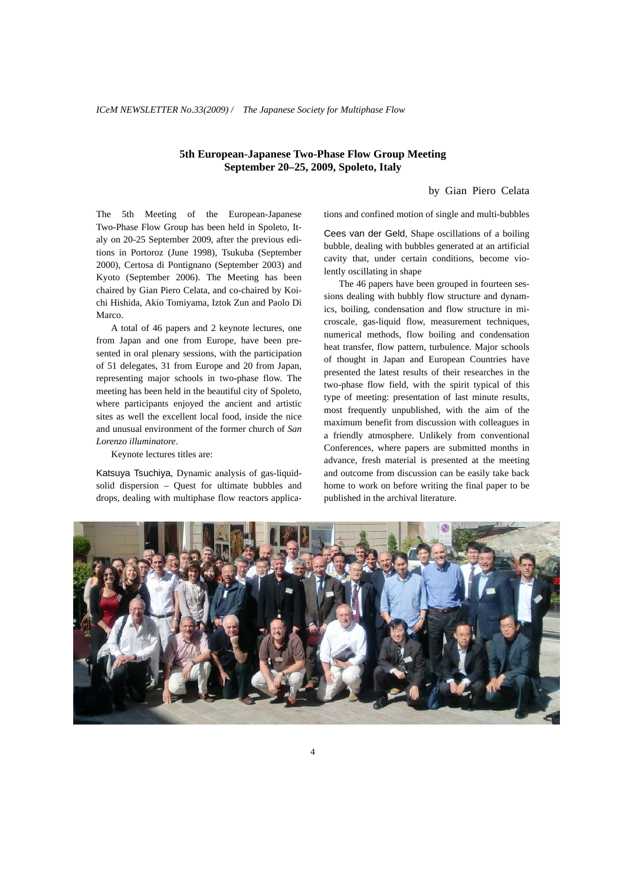**5th European-Japanese Two-Phase Flow Group Meeting September 20–25, 2009, Spoleto, Italy** 

by Gian Piero Celata

The 5th Meeting of the European-Japanese Two-Phase Flow Group has been held in Spoleto, Italy on 20-25 September 2009, after the previous editions in Portoroz (June 1998), Tsukuba (September 2000), Certosa di Pontignano (September 2003) and Kyoto (September 2006). The Meeting has been chaired by Gian Piero Celata, and co-chaired by Koichi Hishida, Akio Tomiyama, Iztok Zun and Paolo Di Marco.

 A total of 46 papers and 2 keynote lectures, one from Japan and one from Europe, have been presented in oral plenary sessions, with the participation of 51 delegates, 31 from Europe and 20 from Japan, representing major schools in two-phase flow. The meeting has been held in the beautiful city of Spoleto, where participants enjoyed the ancient and artistic sites as well the excellent local food, inside the nice and unusual environment of the former church of *San Lorenzo illuminatore*.

Keynote lectures titles are:

Katsuya Tsuchiya, Dynamic analysis of gas-liquidsolid dispersion – Quest for ultimate bubbles and drops, dealing with multiphase flow reactors applications and confined motion of single and multi-bubbles

Cees van der Geld, Shape oscillations of a boiling bubble, dealing with bubbles generated at an artificial cavity that, under certain conditions, become violently oscillating in shape

 The 46 papers have been grouped in fourteen sessions dealing with bubbly flow structure and dynamics, boiling, condensation and flow structure in microscale, gas-liquid flow, measurement techniques, numerical methods, flow boiling and condensation heat transfer, flow pattern, turbulence. Major schools of thought in Japan and European Countries have presented the latest results of their researches in the two-phase flow field, with the spirit typical of this type of meeting: presentation of last minute results, most frequently unpublished, with the aim of the maximum benefit from discussion with colleagues in a friendly atmosphere. Unlikely from conventional Conferences, where papers are submitted months in advance, fresh material is presented at the meeting and outcome from discussion can be easily take back home to work on before writing the final paper to be published in the archival literature.

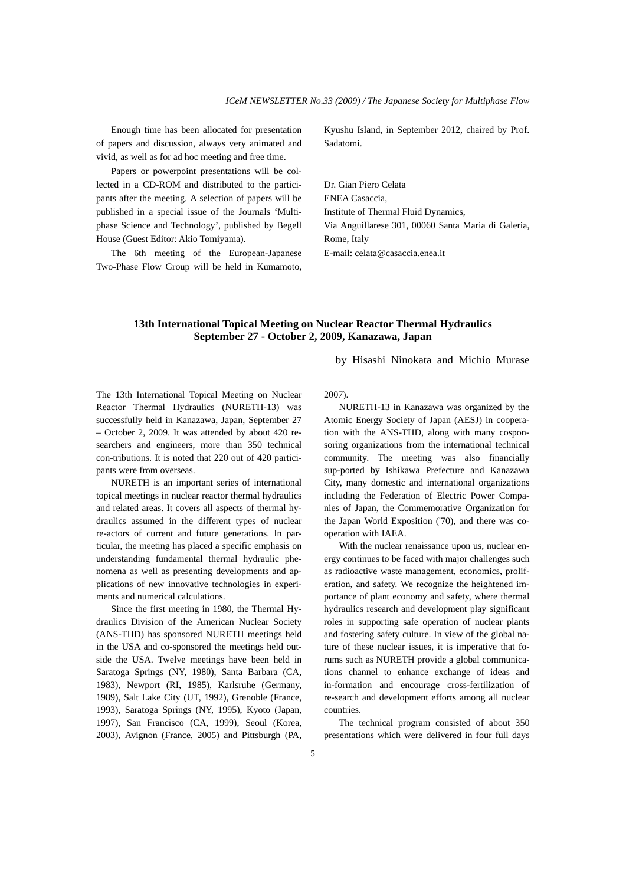Enough time has been allocated for presentation of papers and discussion, always very animated and vivid, as well as for ad hoc meeting and free time.

 Papers or powerpoint presentations will be collected in a CD-ROM and distributed to the participants after the meeting. A selection of papers will be published in a special issue of the Journals 'Multiphase Science and Technology', published by Begell House (Guest Editor: Akio Tomiyama).

 The 6th meeting of the European-Japanese Two-Phase Flow Group will be held in Kumamoto, Kyushu Island, in September 2012, chaired by Prof. Sadatomi.

Dr. Gian Piero Celata ENEA Casaccia, Institute of Thermal Fluid Dynamics, Via Anguillarese 301, 00060 Santa Maria di Galeria, Rome, Italy E-mail: celata@casaccia.enea.it

## **13th International Topical Meeting on Nuclear Reactor Thermal Hydraulics September 27 - October 2, 2009, Kanazawa, Japan**

by Hisashi Ninokata and Michio Murase

The 13th International Topical Meeting on Nuclear Reactor Thermal Hydraulics (NURETH-13) was successfully held in Kanazawa, Japan, September 27 – October 2, 2009. It was attended by about 420 researchers and engineers, more than 350 technical con-tributions. It is noted that 220 out of 420 participants were from overseas.

 NURETH is an important series of international topical meetings in nuclear reactor thermal hydraulics and related areas. It covers all aspects of thermal hydraulics assumed in the different types of nuclear re-actors of current and future generations. In particular, the meeting has placed a specific emphasis on understanding fundamental thermal hydraulic phenomena as well as presenting developments and applications of new innovative technologies in experiments and numerical calculations.

 Since the first meeting in 1980, the Thermal Hydraulics Division of the American Nuclear Society (ANS-THD) has sponsored NURETH meetings held in the USA and co-sponsored the meetings held outside the USA. Twelve meetings have been held in Saratoga Springs (NY, 1980), Santa Barbara (CA, 1983), Newport (RI, 1985), Karlsruhe (Germany, 1989), Salt Lake City (UT, 1992), Grenoble (France, 1993), Saratoga Springs (NY, 1995), Kyoto (Japan, 1997), San Francisco (CA, 1999), Seoul (Korea, 2003), Avignon (France, 2005) and Pittsburgh (PA,

2007).

 NURETH-13 in Kanazawa was organized by the Atomic Energy Society of Japan (AESJ) in cooperation with the ANS-THD, along with many cosponsoring organizations from the international technical community. The meeting was also financially sup-ported by Ishikawa Prefecture and Kanazawa City, many domestic and international organizations including the Federation of Electric Power Companies of Japan, the Commemorative Organization for the Japan World Exposition ('70), and there was cooperation with IAEA.

 With the nuclear renaissance upon us, nuclear energy continues to be faced with major challenges such as radioactive waste management, economics, proliferation, and safety. We recognize the heightened importance of plant economy and safety, where thermal hydraulics research and development play significant roles in supporting safe operation of nuclear plants and fostering safety culture. In view of the global nature of these nuclear issues, it is imperative that forums such as NURETH provide a global communications channel to enhance exchange of ideas and in-formation and encourage cross-fertilization of re-search and development efforts among all nuclear countries.

 The technical program consisted of about 350 presentations which were delivered in four full days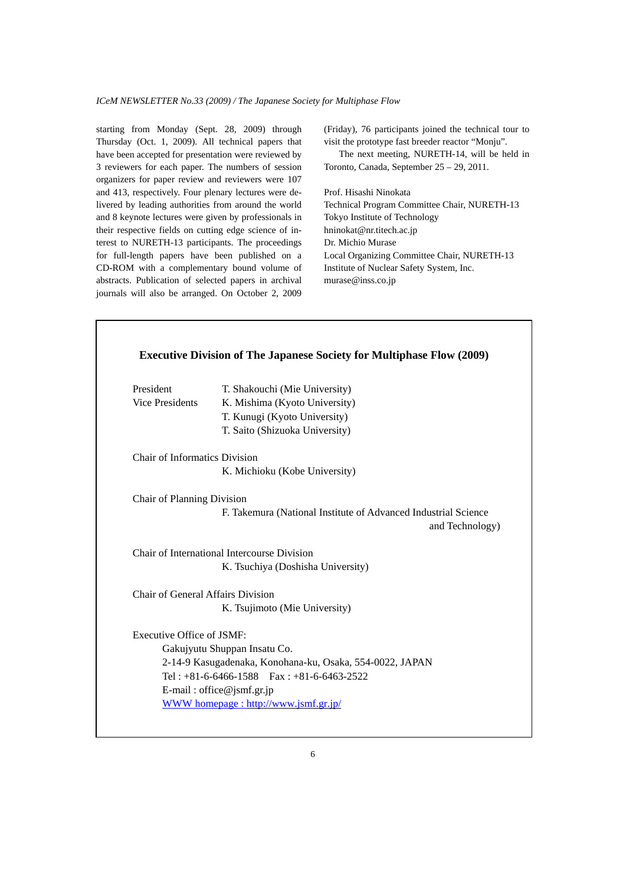starting from Monday (Sept. 28, 2009) through Thursday (Oct. 1, 2009). All technical papers that have been accepted for presentation were reviewed by 3 reviewers for each paper. The numbers of session organizers for paper review and reviewers were 107 and 413, respectively. Four plenary lectures were delivered by leading authorities from around the world and 8 keynote lectures were given by professionals in their respective fields on cutting edge science of interest to NURETH-13 participants. The proceedings for full-length papers have been published on a CD-ROM with a complementary bound volume of abstracts. Publication of selected papers in archival journals will also be arranged. On October 2, 2009

(Friday), 76 participants joined the technical tour to visit the prototype fast breeder reactor "Monju".

 The next meeting, NURETH-14, will be held in Toronto, Canada, September 25 – 29, 2011.

Prof. Hisashi Ninokata Technical Program Committee Chair, NURETH-13 Tokyo Institute of Technology hninokat@nr.titech.ac.jp Dr. Michio Murase Local Organizing Committee Chair, NURETH-13 Institute of Nuclear Safety System, Inc. murase@inss.co.jp

| President                            | T. Shakouchi (Mie University)                                                     |
|--------------------------------------|-----------------------------------------------------------------------------------|
| <b>Vice Presidents</b>               | K. Mishima (Kyoto University)                                                     |
|                                      | T. Kunugi (Kyoto University)                                                      |
|                                      | T. Saito (Shizuoka University)                                                    |
| <b>Chair of Informatics Division</b> |                                                                                   |
|                                      | K. Michioku (Kobe University)                                                     |
| Chair of Planning Division           |                                                                                   |
|                                      | F. Takemura (National Institute of Advanced Industrial Science<br>and Technology) |
|                                      | Chair of International Intercourse Division                                       |
|                                      | K. Tsuchiya (Doshisha University)                                                 |
| Chair of General Affairs Division    |                                                                                   |
|                                      | K. Tsujimoto (Mie University)                                                     |
| Executive Office of JSMF:            |                                                                                   |
|                                      | Gakujyutu Shuppan Insatu Co.                                                      |
|                                      | 2-14-9 Kasugadenaka, Konohana-ku, Osaka, 554-0022, JAPAN                          |
|                                      | Tel: $+81-6-6466-1588$ Fax: $+81-6-6463-2522$                                     |
|                                      | E-mail: office@jsmf.gr.jp                                                         |
|                                      | WWW homepage: http://www.jsmf.gr.jp/                                              |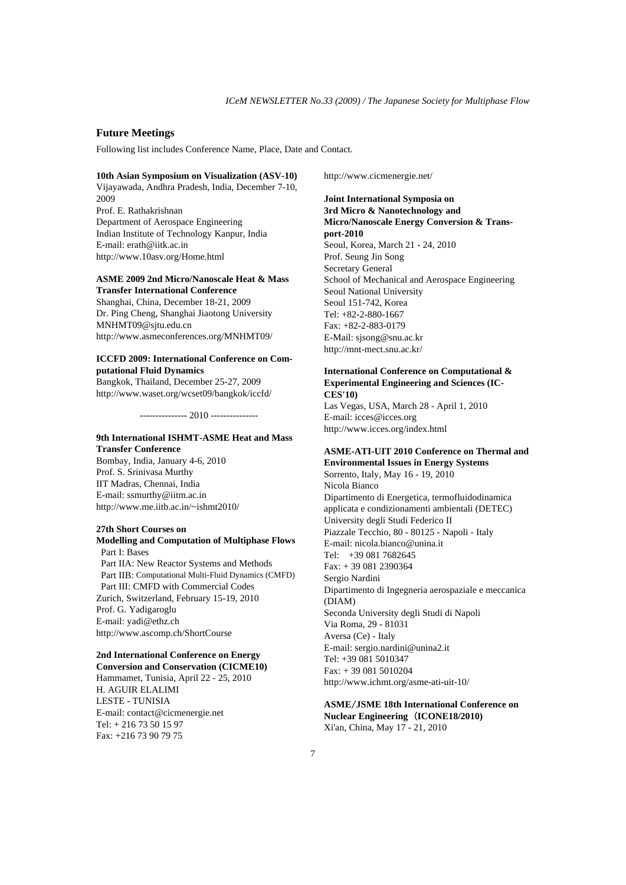### **Future Meetings**

Following list includes Conference Name, Place, Date and Contact.

#### **10th Asian Symposium on Visualization (ASV-10)**

Vijayawada, Andhra Pradesh, India, December 7-10, 2009 Prof. E. Rathakrishnan Department of Aerospace Engineering Indian Institute of Technology Kanpur, India E-mail: erath@iitk.ac.in http://www.10asv.org/Home.html

### **ASME 2009 2nd Micro/Nanoscale Heat & Mass Transfer International Conference**

Shanghai, China, December 18-21, 2009 Dr. Ping Cheng, Shanghai Jiaotong University MNHMT09@sjtu.edu.cn http://www.asmeconferences.org/MNHMT09/

### **ICCFD 2009: International Conference on Computational Fluid Dynamics**

Bangkok, Thailand, December 25-27, 2009 http://www.waset.org/wcset09/bangkok/iccfd/

--------------- 2010 ---------------

### **9th International ISHMT-ASME Heat and Mass Transfer Conference**

Bombay, India, January 4-6, 2010 Prof. S. Srinivasa Murthy IIT Madras, Chennai, India E-mail: ssmurthy@iitm.ac.in http://www.me.iitb.ac.in/~ishmt2010/

#### **27th Short Courses on**

### **Modelling and Computation of Multiphase Flows**  Part I: Bases Part IIA: New Reactor Systems and Methods Part IIB: Computational Multi-Fluid Dynamics (CMFD) Part III: CMFD with Commercial Codes Zurich, Switzerland, February 15-19, 2010 Prof. G. Yadigaroglu E-mail: yadi@ethz.ch

http://www.ascomp.ch/ShortCourse

## **2nd International Conference on Energy**

**Conversion and Conservation (CICME10)** Hammamet, Tunisia, April 22 - 25, 2010 H. AGUIR ELALIMI LESTE - TUNISIA E-mail: contact@cicmenergie.net Tel: + 216 73 50 15 97 Fax: +216 73 90 79 75

http://www.cicmenergie.net/

## **Joint International Symposia on 3rd Micro & Nanotechnology and Micro/Nanoscale Energy Conversion & Transport-2010**  Seoul, Korea, March 21 - 24, 2010 Prof. Seung Jin Song Secretary General

School of Mechanical and Aerospace Engineering Seoul National University Seoul 151-742, Korea Tel: +82-2-880-1667 Fax: +82-2-883-0179 E-Mail: sjsong@snu.ac.kr http://mnt-mect.snu.ac.kr/

### **International Conference on Computational & Experimental Engineering and Sciences (IC-CES'10)**

Las Vegas, USA, March 28 - April 1, 2010 E-mail: icces@icces.org http://www.icces.org/index.html

#### **ASME-ATI-UIT 2010 Conference on Thermal and Environmental Issues in Energy Systems**

Sorrento, Italy, May 16 - 19, 2010 Nicola Bianco Dipartimento di Energetica, termofluidodinamica applicata e condizionamenti ambientali (DETEC) University degli Studi Federico II Piazzale Tecchio, 80 - 80125 - Napoli - Italy E-mail: nicola.bianco@unina.it Tel: +39 081 7682645 Fax: + 39 081 2390364 Sergio Nardini Dipartimento di Ingegneria aerospaziale e meccanica (DIAM) Seconda University degli Studi di Napoli Via Roma, 29 - 81031 Aversa (Ce) - Italy E-mail: sergio.nardini@unina2.it Tel: +39 081 5010347 Fax: + 39 081 5010204 http://www.ichmt.org/asme-ati-uit-10/

#### **ASME**/**JSME 18th International Conference on Nuclear Engineering** (**ICONE18/2010)** Xi'an, China, May 17 - 21, 2010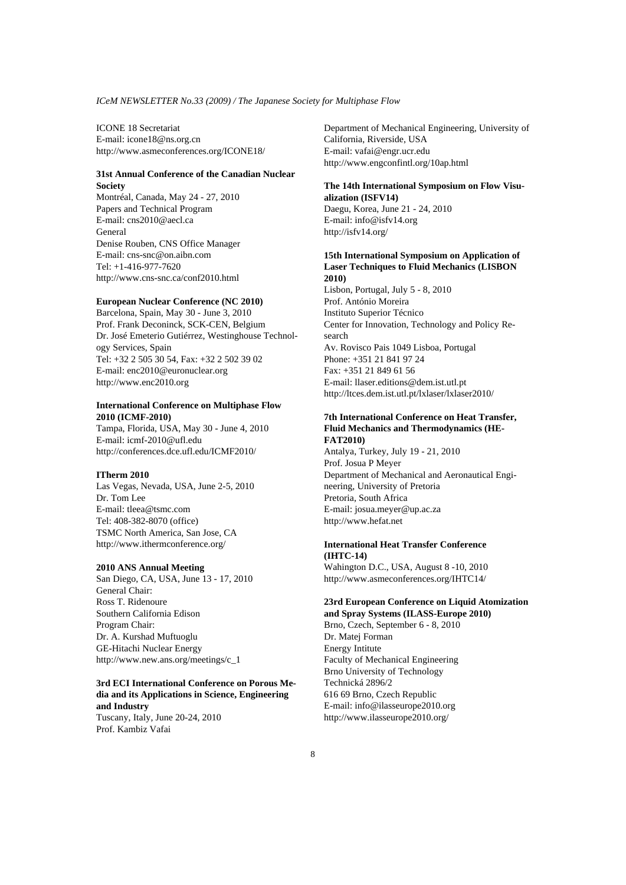ICONE 18 Secretariat E-mail: icone18@ns.org.cn http://www.asmeconferences.org/ICONE18/

#### **31st Annual Conference of the Canadian Nuclear Society**

Montréal, Canada, May 24 - 27, 2010 Papers and Technical Program E-mail: cns2010@aecl.ca General Denise Rouben, CNS Office Manager E-mail: cns-snc@on.aibn.com Tel: +1-416-977-7620 http://www.cns-snc.ca/conf2010.html

#### **European Nuclear Conference (NC 2010)**

Barcelona, Spain, May 30 - June 3, 2010 Prof. Frank Deconinck, SCK-CEN, Belgium Dr. José Emeterio Gutiérrez, Westinghouse Technology Services, Spain Tel: +32 2 505 30 54, Fax: +32 2 502 39 02 E-mail: enc2010@euronuclear.org http://www.enc2010.org

### **International Conference on Multiphase Flow 2010 (ICMF-2010)**

Tampa, Florida, USA, May 30 - June 4, 2010 E-mail: icmf-2010@ufl.edu http://conferences.dce.ufl.edu/ICMF2010/

### **ITherm 2010**

Las Vegas, Nevada, USA, June 2-5, 2010 Dr. Tom Lee E-mail: tleea@tsmc.com Tel: 408-382-8070 (office) TSMC North America, San Jose, CA http://www.ithermconference.org/

### **2010 ANS Annual Meeting**

San Diego, CA, USA, June 13 - 17, 2010 General Chair: Ross T. Ridenoure Southern California Edison Program Chair: Dr. A. Kurshad Muftuoglu GE-Hitachi Nuclear Energy http://www.new.ans.org/meetings/c\_1

# **3rd ECI International Conference on Porous Media and its Applications in Science, Engineering and Industry**

Tuscany, Italy, June 20-24, 2010 Prof. Kambiz Vafai

Department of Mechanical Engineering, University of California, Riverside, USA E-mail: vafai@engr.ucr.edu http://www.engconfintl.org/10ap.html

#### **The 14th International Symposium on Flow Visualization (ISFV14)**

Daegu, Korea, June 21 - 24, 2010 E-mail: info@isfv14.org http://isfv14.org/

### **15th International Symposium on Application of Laser Techniques to Fluid Mechanics (LISBON 2010)**

Lisbon, Portugal, July 5 - 8, 2010 Prof. António Moreira Instituto Superior Técnico Center for Innovation, Technology and Policy Research Av. Rovisco Pais 1049 Lisboa, Portugal Phone: +351 21 841 97 24 Fax: +351 21 849 61 56 E-mail: llaser.editions@dem.ist.utl.pt http://ltces.dem.ist.utl.pt/lxlaser/lxlaser2010/

### **7th International Conference on Heat Transfer, Fluid Mechanics and Thermodynamics (HE-FAT2010)**

Antalya, Turkey, July 19 - 21, 2010 Prof. Josua P Meyer Department of Mechanical and Aeronautical Engineering, University of Pretoria Pretoria, South Africa E-mail: josua.meyer@up.ac.za http://www.hefat.net

### **International Heat Transfer Conference (IHTC-14)**

Wahington D.C., USA, August 8 -10, 2010 http://www.asmeconferences.org/IHTC14/

#### **23rd European Conference on Liquid Atomization and Spray Systems (ILASS-Europe 2010)**

Brno, Czech, September 6 - 8, 2010 Dr. Matej Forman Energy Intitute Faculty of Mechanical Engineering Brno University of Technology Technická 2896/2 616 69 Brno, Czech Republic E-mail: info@ilasseurope2010.org http://www.ilasseurope2010.org/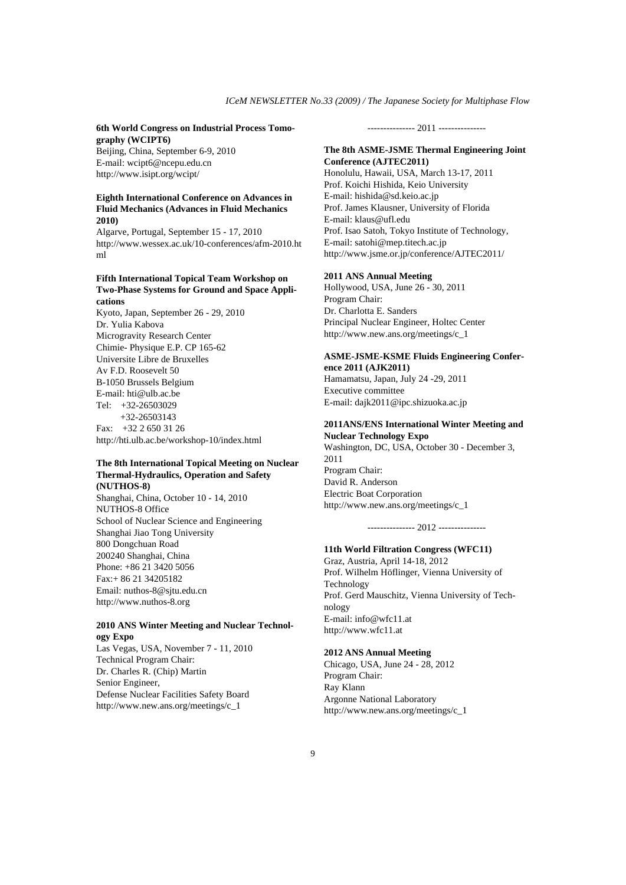#### **6th World Congress on Industrial Process Tomography (WCIPT6)**

Beijing, China, September 6-9, 2010 E-mail: wcipt6@ncepu.edu.cn http://www.isipt.org/wcipt/

### **Eighth International Conference on Advances in Fluid Mechanics (Advances in Fluid Mechanics 2010)**

Algarve, Portugal, September 15 - 17, 2010 http://www.wessex.ac.uk/10-conferences/afm-2010.ht ml

#### **Fifth International Topical Team Workshop on Two-Phase Systems for Ground and Space Applications**

Kyoto, Japan, September 26 - 29, 2010 Dr. Yulia Kabova Microgravity Research Center Chimie- Physique E.P. CP 165-62 Universite Libre de Bruxelles Av F.D. Roosevelt 50 B-1050 Brussels Belgium E-mail: hti@ulb.ac.be Tel: +32-26503029 +32-26503143 Fax: +32 2 650 31 26 http://hti.ulb.ac.be/workshop-10/index.html

### **The 8th International Topical Meeting on Nuclear Thermal-Hydraulics, Operation and Safety (NUTHOS-8)**

Shanghai, China, October 10 - 14, 2010 NUTHOS-8 Office School of Nuclear Science and Engineering Shanghai Jiao Tong University 800 Dongchuan Road 200240 Shanghai, China Phone: +86 21 3420 5056 Fax:+ 86 21 34205182 Email: nuthos-8@sjtu.edu.cn http://www.nuthos-8.org

#### **2010 ANS Winter Meeting and Nuclear Technology Expo**

Las Vegas, USA, November 7 - 11, 2010 Technical Program Chair: Dr. Charles R. (Chip) Martin Senior Engineer, Defense Nuclear Facilities Safety Board http://www.new.ans.org/meetings/c\_1

--------------- 2011 ---------------

#### **The 8th ASME-JSME Thermal Engineering Joint Conference (AJTEC2011)**

Honolulu, Hawaii, USA, March 13-17, 2011 Prof. Koichi Hishida, Keio University E-mail: hishida@sd.keio.ac.jp Prof. James Klausner, University of Florida E-mail: klaus@ufl.edu Prof. Isao Satoh, Tokyo Institute of Technology, E-mail: satohi@mep.titech.ac.jp http://www.jsme.or.jp/conference/AJTEC2011/

#### **2011 ANS Annual Meeting**

Hollywood, USA, June 26 - 30, 2011 Program Chair: Dr. Charlotta E. Sanders Principal Nuclear Engineer, Holtec Center http://www.new.ans.org/meetings/c\_1

### **ASME-JSME-KSME Fluids Engineering Conference 2011 (AJK2011)**

Hamamatsu, Japan, July 24 -29, 2011 Executive committee E-mail: dajk2011@ipc.shizuoka.ac.jp

### **2011ANS/ENS International Winter Meeting and Nuclear Technology Expo**

Washington, DC, USA, October 30 - December 3, 2011 Program Chair: David R. Anderson Electric Boat Corporation http://www.new.ans.org/meetings/c\_1

--------------- 2012 ---------------

#### **11th World Filtration Congress (WFC11)**

Graz, Austria, April 14-18, 2012 Prof. Wilhelm Höflinger, Vienna University of Technology Prof. Gerd Mauschitz, Vienna University of Technology E-mail: info@wfc11.at http://www.wfc11.at

#### **2012 ANS Annual Meeting**

Chicago, USA, June 24 - 28, 2012 Program Chair: Ray Klann Argonne National Laboratory http://www.new.ans.org/meetings/c\_1